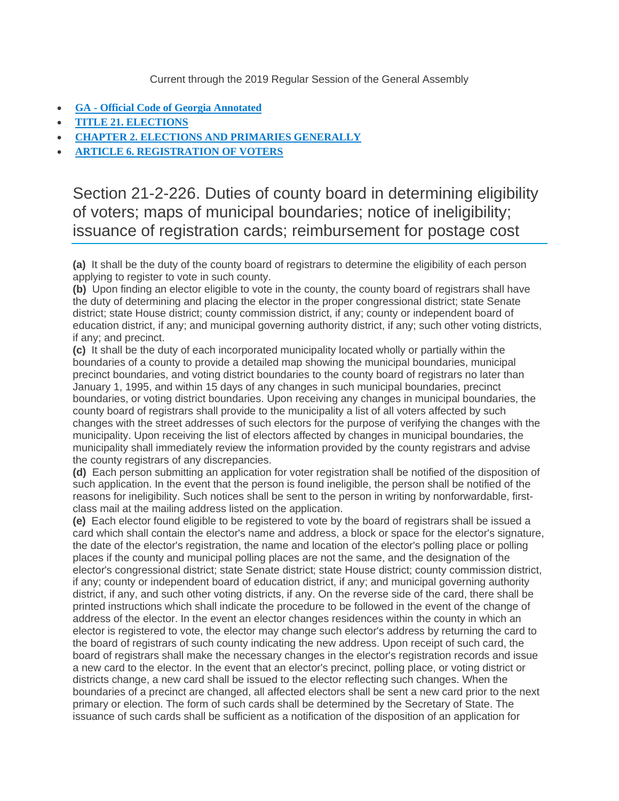Current through the 2019 Regular Session of the General Assembly

- **GA - [Official Code of Georgia Annotated](https://advance.lexis.com/documentpage/?pdmfid=1000516&crid=4e7d35ba-f97a-4b5e-aa38-ee2ef2717fcf&config=00JAA1MDBlYzczZi1lYjFlLTQxMTgtYWE3OS02YTgyOGM2NWJlMDYKAFBvZENhdGFsb2feed0oM9qoQOMCSJFX5qkd&pddocfullpath=%2Fshared%2Fdocument%2Fstatutes-legislation%2Furn%3AcontentItem%3A5Y9F-X101-JKHB-622M-00008-00&pdcontentcomponentid=234186&pdteaserkey=sr1&pditab=allpods&ecomp=tgw_kkk&earg=sr1&prid=d8dc60fa-16f5-47a9-8076-3fe4e884f3c0)**
- **[TITLE 21. ELECTIONS](https://advance.lexis.com/documentpage/?pdmfid=1000516&crid=4e7d35ba-f97a-4b5e-aa38-ee2ef2717fcf&config=00JAA1MDBlYzczZi1lYjFlLTQxMTgtYWE3OS02YTgyOGM2NWJlMDYKAFBvZENhdGFsb2feed0oM9qoQOMCSJFX5qkd&pddocfullpath=%2Fshared%2Fdocument%2Fstatutes-legislation%2Furn%3AcontentItem%3A5Y9F-X101-JKHB-622M-00008-00&pdcontentcomponentid=234186&pdteaserkey=sr1&pditab=allpods&ecomp=tgw_kkk&earg=sr1&prid=d8dc60fa-16f5-47a9-8076-3fe4e884f3c0)**
- **[CHAPTER 2. ELECTIONS AND PRIMARIES GENERALLY](https://advance.lexis.com/documentpage/?pdmfid=1000516&crid=4e7d35ba-f97a-4b5e-aa38-ee2ef2717fcf&config=00JAA1MDBlYzczZi1lYjFlLTQxMTgtYWE3OS02YTgyOGM2NWJlMDYKAFBvZENhdGFsb2feed0oM9qoQOMCSJFX5qkd&pddocfullpath=%2Fshared%2Fdocument%2Fstatutes-legislation%2Furn%3AcontentItem%3A5Y9F-X101-JKHB-622M-00008-00&pdcontentcomponentid=234186&pdteaserkey=sr1&pditab=allpods&ecomp=tgw_kkk&earg=sr1&prid=d8dc60fa-16f5-47a9-8076-3fe4e884f3c0)**
- **[ARTICLE 6. REGISTRATION OF VOTERS](https://advance.lexis.com/documentpage/?pdmfid=1000516&crid=4e7d35ba-f97a-4b5e-aa38-ee2ef2717fcf&config=00JAA1MDBlYzczZi1lYjFlLTQxMTgtYWE3OS02YTgyOGM2NWJlMDYKAFBvZENhdGFsb2feed0oM9qoQOMCSJFX5qkd&pddocfullpath=%2Fshared%2Fdocument%2Fstatutes-legislation%2Furn%3AcontentItem%3A5Y9F-X101-JKHB-622M-00008-00&pdcontentcomponentid=234186&pdteaserkey=sr1&pditab=allpods&ecomp=tgw_kkk&earg=sr1&prid=d8dc60fa-16f5-47a9-8076-3fe4e884f3c0)**

Section 21-2-226. Duties of county board in determining eligibility of voters; maps of municipal boundaries; notice of ineligibility; issuance of registration cards; reimbursement for postage cost

**(a)** It shall be the duty of the county board of registrars to determine the eligibility of each person applying to register to vote in such county.

**(b)** Upon finding an elector eligible to vote in the county, the county board of registrars shall have the duty of determining and placing the elector in the proper congressional district; state Senate district; state House district; county commission district, if any; county or independent board of education district, if any; and municipal governing authority district, if any; such other voting districts, if any; and precinct.

**(c)** It shall be the duty of each incorporated municipality located wholly or partially within the boundaries of a county to provide a detailed map showing the municipal boundaries, municipal precinct boundaries, and voting district boundaries to the county board of registrars no later than January 1, 1995, and within 15 days of any changes in such municipal boundaries, precinct boundaries, or voting district boundaries. Upon receiving any changes in municipal boundaries, the county board of registrars shall provide to the municipality a list of all voters affected by such changes with the street addresses of such electors for the purpose of verifying the changes with the municipality. Upon receiving the list of electors affected by changes in municipal boundaries, the municipality shall immediately review the information provided by the county registrars and advise the county registrars of any discrepancies.

**(d)** Each person submitting an application for voter registration shall be notified of the disposition of such application. In the event that the person is found ineligible, the person shall be notified of the reasons for ineligibility. Such notices shall be sent to the person in writing by nonforwardable, firstclass mail at the mailing address listed on the application.

**(e)** Each elector found eligible to be registered to vote by the board of registrars shall be issued a card which shall contain the elector's name and address, a block or space for the elector's signature, the date of the elector's registration, the name and location of the elector's polling place or polling places if the county and municipal polling places are not the same, and the designation of the elector's congressional district; state Senate district; state House district; county commission district, if any; county or independent board of education district, if any; and municipal governing authority district, if any, and such other voting districts, if any. On the reverse side of the card, there shall be printed instructions which shall indicate the procedure to be followed in the event of the change of address of the elector. In the event an elector changes residences within the county in which an elector is registered to vote, the elector may change such elector's address by returning the card to the board of registrars of such county indicating the new address. Upon receipt of such card, the board of registrars shall make the necessary changes in the elector's registration records and issue a new card to the elector. In the event that an elector's precinct, polling place, or voting district or districts change, a new card shall be issued to the elector reflecting such changes. When the boundaries of a precinct are changed, all affected electors shall be sent a new card prior to the next primary or election. The form of such cards shall be determined by the Secretary of State. The issuance of such cards shall be sufficient as a notification of the disposition of an application for